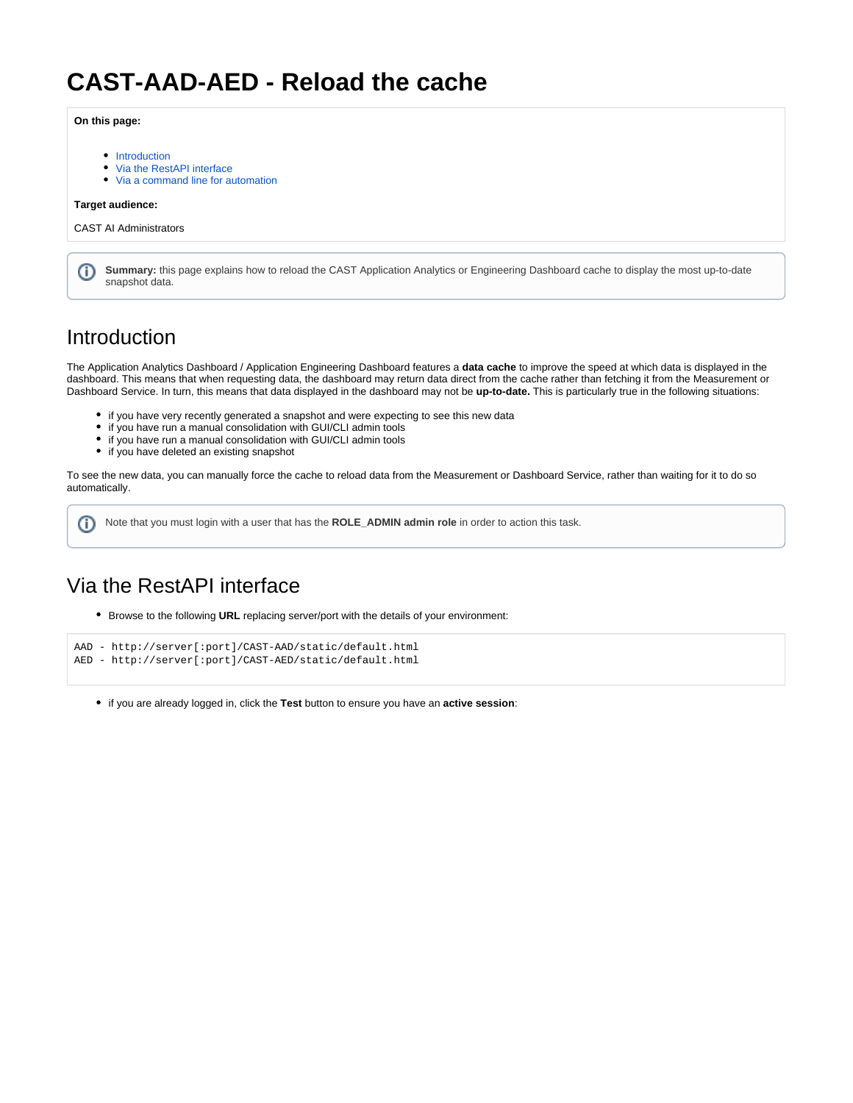# **CAST-AAD-AED - Reload the cache**

### **On this page:**

- [Introduction](#page-0-0)
- [Via the RestAPI interface](#page-0-1)
- [Via a command line for automation](#page-2-0)

#### **Target audience:**

CAST AI Administrators

|  | Summary: this page explains how to reload the CAST Application Analytics or Engineering Dashboard cache to display the most up-to-date<br>snapshot data. |
|--|----------------------------------------------------------------------------------------------------------------------------------------------------------|
|--|----------------------------------------------------------------------------------------------------------------------------------------------------------|

### <span id="page-0-0"></span>Introduction

The Application Analytics Dashboard / Application Engineering Dashboard features a **data cache** to improve the speed at which data is displayed in the dashboard. This means that when requesting data, the dashboard may return data direct from the cache rather than fetching it from the Measurement or Dashboard Service. In turn, this means that data displayed in the dashboard may not be **up-to-date.** This is particularly true in the following situations:

- if you have very recently generated a snapshot and were expecting to see this new data
- if you have run a manual consolidation with GUI/CLI admin tools
- if you have run a manual consolidation with GUI/CLI admin tools
- if you have deleted an existing snapshot

To see the new data, you can manually force the cache to reload data from the Measurement or Dashboard Service, rather than waiting for it to do so automatically.

ന Note that you must login with a user that has the **ROLE\_ADMIN admin role** in order to action this task.

## <span id="page-0-1"></span>Via the RestAPI interface

Browse to the following **URL** replacing server/port with the details of your environment:

```
AAD - http://server[:port]/CAST-AAD/static/default.html
AED - http://server[:port]/CAST-AED/static/default.html
```
if you are already logged in, click the **Test** button to ensure you have an **active session**: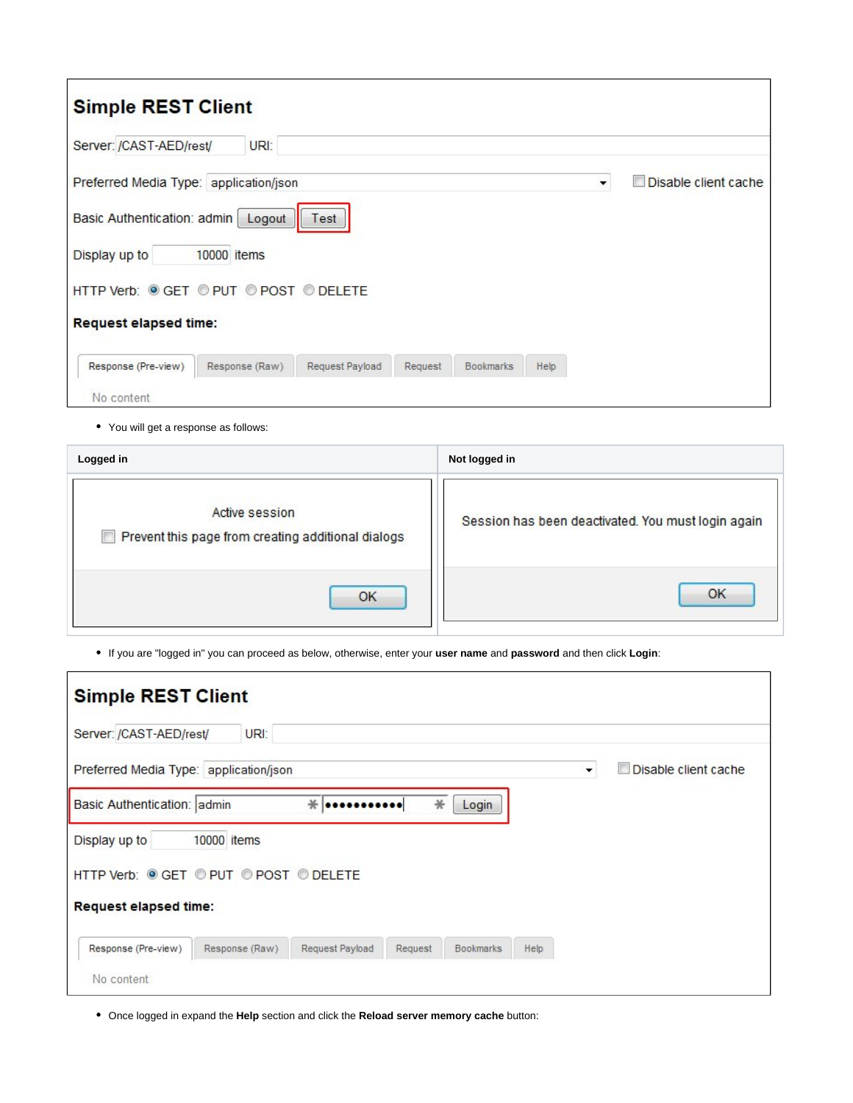| <b>Simple REST Client</b>                                                                       |                          |                           |
|-------------------------------------------------------------------------------------------------|--------------------------|---------------------------|
| URI:<br>Server: /CAST-AED/rest/                                                                 |                          |                           |
| Preferred Media Type: application/json                                                          | $\overline{\phantom{a}}$ | Disable client cache<br>固 |
| Basic Authentication: admin<br>Logout<br>Test                                                   |                          |                           |
| Display up to<br>10000 items                                                                    |                          |                           |
| HTTP Verb: © GET © PUT © POST © DELETE                                                          |                          |                           |
| <b>Request elapsed time:</b>                                                                    |                          |                           |
| Response (Raw)<br>Request Payload<br>Response (Pre-view)<br><b>Bookmarks</b><br>Help<br>Request |                          |                           |
| No content                                                                                      |                          |                           |

You will get a response as follows:

| Logged in                                                            | Not logged in                                      |  |
|----------------------------------------------------------------------|----------------------------------------------------|--|
| Active session<br>Prevent this page from creating additional dialogs | Session has been deactivated. You must login again |  |
| OK                                                                   | OK                                                 |  |

If you are "logged in" you can proceed as below, otherwise, enter your **user name** and **password** and then click **Login**:

| <b>Simple REST Client</b>                                                               |      |                           |  |  |  |  |  |
|-----------------------------------------------------------------------------------------|------|---------------------------|--|--|--|--|--|
| Server: /CAST-AED/rest/<br>URI:                                                         |      |                           |  |  |  |  |  |
| Preferred Media Type: application/json                                                  | ۰    | Disable client cache<br>n |  |  |  |  |  |
| Basic Authentication: admin<br>$*$<br>∗<br>Login<br>                                    |      |                           |  |  |  |  |  |
| 10000 items<br>Display up to                                                            |      |                           |  |  |  |  |  |
| HTTP Verb: © GET © PUT © POST © DELETE                                                  |      |                           |  |  |  |  |  |
| <b>Request elapsed time:</b>                                                            |      |                           |  |  |  |  |  |
| Response (Pre-view)<br>Response (Raw)<br>Request Payload<br>Request<br><b>Bookmarks</b> | Help |                           |  |  |  |  |  |
| No content                                                                              |      |                           |  |  |  |  |  |

Once logged in expand the **Help** section and click the **Reload server memory cache** button: